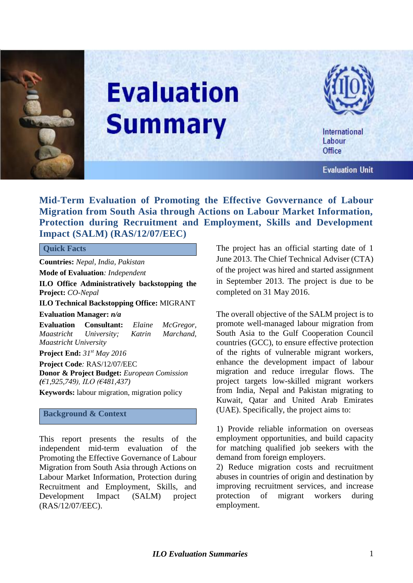

# **Evaluation Summary**



International Labour Office

**Evaluation Unit** 

## **Mid-Term Evaluation of Promoting the Effective Govvernance of Labour Migration from South Asia through Actions on Labour Market Information, Protection during Recruitment and Employment, Skills and Development Impact (SALM) (RAS/12/07/EEC)**

#### **Quick Facts**

**Countries:** *Nepal, India, Pakistan*

**Mode of Evaluation***: Independent*

**ILO Office Administratively backstopping the Project:** *CO-Nepal*

**ILO Technical Backstopping Office:** MIGRANT **Evaluation Manager:** *n/a* 

**Evaluation Consultant:** *Elaine McGregor, Maastricht University; Katrin Marchand, Maastricht University*  **Project End:** *31 st May 2016*

**Project Code***:* RAS/12/07/EEC **Donor & Project Budget:** *European Comission (€1,925,749), ILO (€481,437)*

**Keywords:** labour [migration](javascript:doDTR()*,* [migration](javascript:doDTR() policy

#### **Background & Context**

This report presents the results of the independent mid-term evaluation of the Promoting the Effective Governance of Labour Migration from South Asia through Actions on Labour Market Information, Protection during Recruitment and Employment, Skills, and Development Impact (SALM) project (RAS/12/07/EEC).

The project has an official starting date of 1 June 2013. The Chief Technical Adviser (CTA) of the project was hired and started assignment in September 2013. The project is due to be completed on 31 May 2016.

The overall objective of the SALM project is to promote well-managed labour migration from South Asia to the Gulf Cooperation Council countries (GCC), to ensure effective protection of the rights of vulnerable migrant workers, enhance the development impact of labour migration and reduce irregular flows. The project targets low-skilled migrant workers from India, Nepal and Pakistan migrating to Kuwait, Qatar and United Arab Emirates (UAE). Specifically, the project aims to:

1) Provide reliable information on overseas employment opportunities, and build capacity for matching qualified job seekers with the demand from foreign employers.

2) Reduce migration costs and recruitment abuses in countries of origin and destination by improving recruitment services, and increase protection of migrant workers during employment.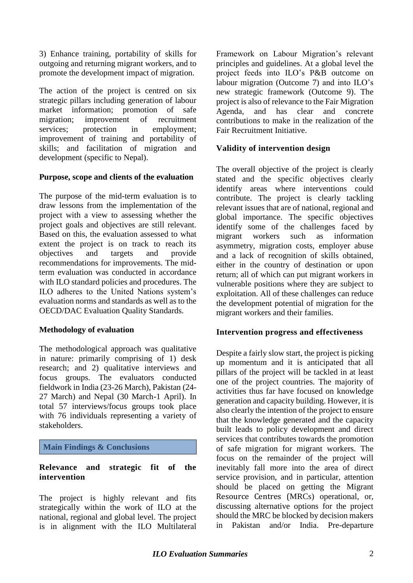3) Enhance training, portability of skills for outgoing and returning migrant workers, and to promote the development impact of migration.

The action of the project is centred on six strategic pillars including generation of labour market information; promotion of safe migration; improvement of recruitment services; protection in employment; improvement of training and portability of skills; and facilitation of migration and development (specific to Nepal).

## **Purpose, scope and clients of the evaluation**

The purpose of the mid-term evaluation is to draw lessons from the implementation of the project with a view to assessing whether the project goals and objectives are still relevant. Based on this, the evaluation assessed to what extent the project is on track to reach its objectives and targets and provide recommendations for improvements. The midterm evaluation was conducted in accordance with ILO standard policies and procedures. The ILO adheres to the United Nations system's evaluation norms and standards as well as to the OECD/DAC Evaluation Quality Standards.

#### **Methodology of evaluation**

The methodological approach was qualitative in nature: primarily comprising of 1) desk research; and 2) qualitative interviews and focus groups. The evaluators conducted fieldwork in India (23-26 March), Pakistan (24- 27 March) and Nepal (30 March-1 April). In total 57 interviews/focus groups took place with 76 individuals representing a variety of stakeholders.

## **Main Findings & Conclusions**

## **Relevance and strategic fit of the intervention**

The project is highly relevant and fits strategically within the work of ILO at the national, regional and global level. The project is in alignment with the ILO Multilateral Framework on Labour Migration's relevant principles and guidelines. At a global level the project feeds into ILO's P&B outcome on labour migration (Outcome 7) and into ILO's new strategic framework (Outcome 9). The project is also of relevance to the Fair Migration Agenda, and has clear and concrete contributions to make in the realization of the Fair Recruitment Initiative.

## **Validity of intervention design**

The overall objective of the project is clearly stated and the specific objectives clearly identify areas where interventions could contribute. The project is clearly tackling relevant issues that are of national, regional and global importance. The specific objectives identify some of the challenges faced by migrant workers such as information asymmetry, migration costs, employer abuse and a lack of recognition of skills obtained, either in the country of destination or upon return; all of which can put migrant workers in vulnerable positions where they are subject to exploitation. All of these challenges can reduce the development potential of migration for the migrant workers and their families.

#### **Intervention progress and effectiveness**

Despite a fairly slow start, the project is picking up momentum and it is anticipated that all pillars of the project will be tackled in at least one of the project countries. The majority of activities thus far have focused on knowledge generation and capacity building. However, it is also clearly the intention of the project to ensure that the knowledge generated and the capacity built leads to policy development and direct services that contributes towards the promotion of safe migration for migrant workers. The focus on the remainder of the project will inevitably fall more into the area of direct service provision, and in particular, attention should be placed on getting the Migrant Resource Centres (MRCs) operational, or, discussing alternative options for the project should the MRC be blocked by decision makers in Pakistan and/or India. Pre-departure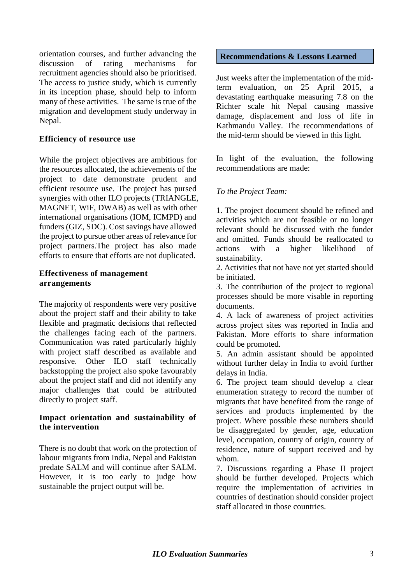orientation courses, and further advancing the discussion of rating mechanisms for recruitment agencies should also be prioritised. The access to justice study, which is currently in its inception phase, should help to inform many of these activities. The same is true of the migration and development study underway in Nepal.

## **Efficiency of resource use**

While the project objectives are ambitious for the resources allocated, the achievements of the project to date demonstrate prudent and efficient resource use. The project has pursed synergies with other ILO projects (TRIANGLE, MAGNET, WiF, DWAB) as well as with other international organisations (IOM, ICMPD) and funders (GIZ, SDC). Cost savings have allowed the project to pursue other areas of relevance for project partners.The project has also made efforts to ensure that efforts are not duplicated.

#### **Effectiveness of management arrangements**

The majority of respondents were very positive about the project staff and their ability to take flexible and pragmatic decisions that reflected the challenges facing each of the partners. Communication was rated particularly highly with project staff described as available and responsive. Other ILO staff technically backstopping the project also spoke favourably about the project staff and did not identify any major challenges that could be attributed directly to project staff.

#### **Impact orientation and sustainability of the intervention**

There is no doubt that work on the protection of labour migrants from India, Nepal and Pakistan predate SALM and will continue after SALM. However, it is too early to judge how sustainable the project output will be.

#### **Recommendations & Lessons Learned**

Just weeks after the implementation of the midterm evaluation, on 25 April 2015, a devastating earthquake measuring 7.8 on the Richter scale hit Nepal causing massive damage, displacement and loss of life in Kathmandu Valley. The recommendations of the mid-term should be viewed in this light.

In light of the evaluation, the following recommendations are made:

## *To the Project Team:*

1. The project document should be refined and activities which are not feasible or no longer relevant should be discussed with the funder and omitted. Funds should be reallocated to actions with a higher likelihood of sustainability.

2. Activities that not have not yet started should be initiated.

3. The contribution of the project to regional processes should be more visable in reporting documents.

4. A lack of awareness of project activities across project sites was reported in India and Pakistan. More efforts to share information could be promoted.

5. An admin assistant should be appointed without further delay in India to avoid further delays in India.

6. The project team should develop a clear enumeration strategy to record the number of migrants that have benefited from the range of services and products implemented by the project. Where possible these numbers should be disaggregated by gender, age, education level, occupation, country of origin, country of residence, nature of support received and by whom.

7. Discussions regarding a Phase II project should be further developed. Projects which require the implementation of activities in countries of destination should consider project staff allocated in those countries.